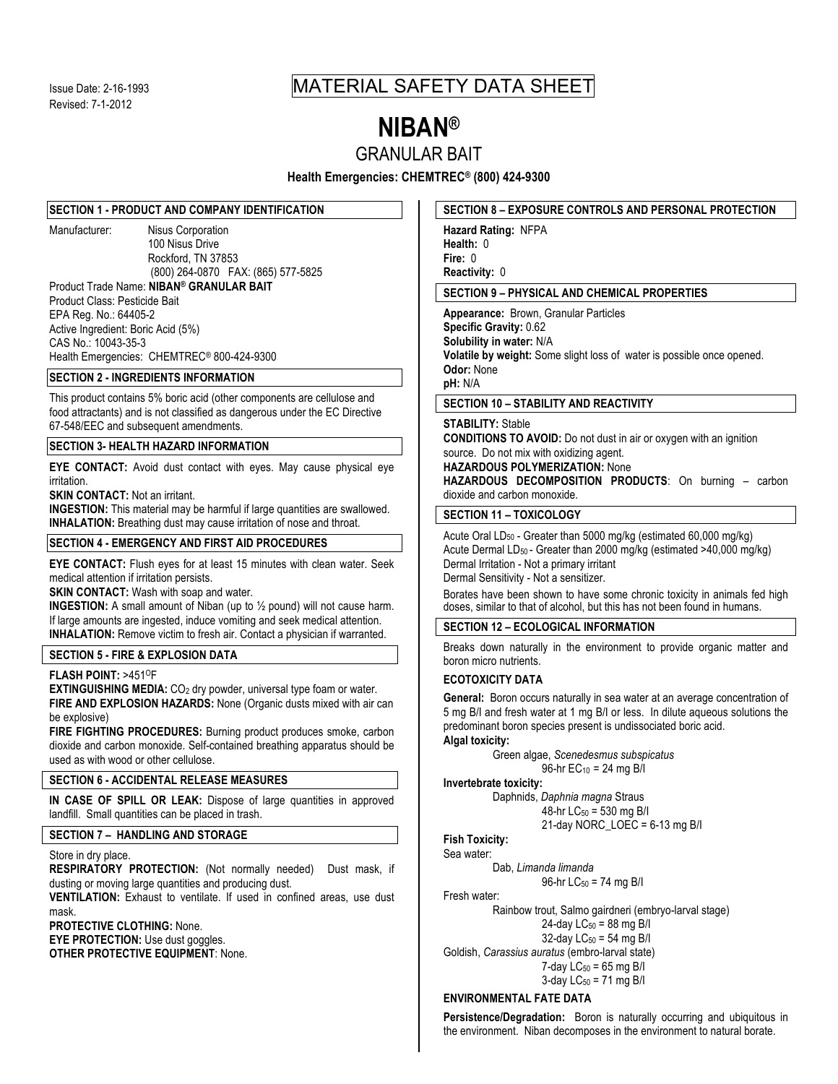# Issue Date: 2-16-1993 MATERIAL SAFETY DATA SHEET

# **NIBAN®**

GRANULAR BAIT

**Health Emergencies: CHEMTREC® (800) 424-9300**

#### **SECTION 1 - PRODUCT AND COMPANY IDENTIFICATION**

Manufacturer: Nisus Corporation 100 Nisus Drive Rockford, TN 37853 (800) 264-0870 FAX: (865) 577-5825 Product Trade Name: **NIBAN® GRANULAR BAIT** Product Class: Pesticide Bait EPA Reg. No.: 64405-2 Active Ingredient: Boric Acid (5%)

CAS No.: 10043-35-3 Health Emergencies: CHEMTREC® 800-424-9300

# **SECTION 2 - INGREDIENTS INFORMATION**

This product contains 5% boric acid (other components are cellulose and food attractants) and is not classified as dangerous under the EC Directive 67-548/EEC and subsequent amendments.

# **SECTION 3- HEALTH HAZARD INFORMATION**

**EYE CONTACT:** Avoid dust contact with eyes. May cause physical eye irritation.

**SKIN CONTACT:** Not an irritant.

**INGESTION:** This material may be harmful if large quantities are swallowed. **INHALATION:** Breathing dust may cause irritation of nose and throat.

#### **SECTION 4 - EMERGENCY AND FIRST AID PROCEDURES**

**EYE CONTACT:** Flush eyes for at least 15 minutes with clean water. Seek medical attention if irritation persists.

**SKIN CONTACT:** Wash with soap and water.

**INGESTION:** A small amount of Niban (up to  $\frac{1}{2}$  pound) will not cause harm. If large amounts are ingested, induce vomiting and seek medical attention. **INHALATION:** Remove victim to fresh air. Contact a physician if warranted.

#### **SECTION 5 - FIRE & EXPLOSION DATA**

**FLASH POINT:** >451OF

**EXTINGUISHING MEDIA:** CO<sub>2</sub> dry powder, universal type foam or water. **FIRE AND EXPLOSION HAZARDS:** None (Organic dusts mixed with air can be explosive)

**FIRE FIGHTING PROCEDURES:** Burning product produces smoke, carbon dioxide and carbon monoxide. Self-contained breathing apparatus should be used as with wood or other cellulose.

# **SECTION 6 - ACCIDENTAL RELEASE MEASURES**

**IN CASE OF SPILL OR LEAK:** Dispose of large quantities in approved landfill. Small quantities can be placed in trash.

# **SECTION 7 – HANDLING AND STORAGE**

#### Store in dry place.

**RESPIRATORY PROTECTION:** (Not normally needed) Dust mask, if dusting or moving large quantities and producing dust.

**VENTILATION:** Exhaust to ventilate. If used in confined areas, use dust mask.

**PROTECTIVE CLOTHING:** None.

**EYE PROTECTION:** Use dust goggles.

**OTHER PROTECTIVE EQUIPMENT**: None.

# **SECTION 8 – EXPOSURE CONTROLS AND PERSONAL PROTECTION**

**Hazard Rating:** NFPA **Health:** 0 **Fire:** 0 **Reactivity:** 0

# **SECTION 9 – PHYSICAL AND CHEMICAL PROPERTIES**

**Appearance:** Brown, Granular Particles **Specific Gravity:** 0.62 **Solubility in water:** N/A **Volatile by weight:** Some slight loss of water is possible once opened. **Odor:** None **pH:** N/A

# **SECTION 10 – STABILITY AND REACTIVITY**

#### **STABILITY:** Stable

**CONDITIONS TO AVOID:** Do not dust in air or oxygen with an ignition source. Do not mix with oxidizing agent.

**HAZARDOUS POLYMERIZATION:** None

**HAZARDOUS DECOMPOSITION PRODUCTS**: On burning – carbon dioxide and carbon monoxide.

# **SECTION 11 – TOXICOLOGY**

Acute Oral LD<sub>50</sub> - Greater than 5000 mg/kg (estimated 60,000 mg/kg) Acute Dermal LD<sub>50</sub> - Greater than 2000 mg/kg (estimated >40,000 mg/kg) Dermal Irritation - Not a primary irritant Dermal Sensitivity - Not a sensitizer.

Borates have been shown to have some chronic toxicity in animals fed high doses, similar to that of alcohol, but this has not been found in humans.

# **SECTION 12 – ECOLOGICAL INFORMATION**

Breaks down naturally in the environment to provide organic matter and boron micro nutrients.

### **ECOTOXICITY DATA**

**General:** Boron occurs naturally in sea water at an average concentration of 5 mg B/I and fresh water at 1 mg B/I or less. In dilute aqueous solutions the predominant boron species present is undissociated boric acid. **Algal toxicity:**

Green algae, *Scenedesmus subspicatus* 96-hr  $EC_{10} = 24$  mg B/I

# **Invertebrate toxicity:**

Daphnids, *Daphnia magna* Straus 48-hr LC50 = 530 mg B/I

 $21$ -day NORC\_LOEC = 6-13 mg B/I

**Fish Toxicity:**  Sea water:

Dab, *Limanda limanda*

96-hr  $LC_{50} = 74$  mg B/I

Fresh water:

Rainbow trout, Salmo gairdneri (embryo-larval stage) 24-day  $LC_{50} = 88$  mg B/I 32-day  $LC_{50} = 54$  mg B/I Goldish, *Carassius auratus* (embro-larval state)

```
7-day LC_{50} = 65 mg B/I
3-day LC<sub>50</sub> = 71 mg B/I
```
# **ENVIRONMENTAL FATE DATA**

**Persistence/Degradation:** Boron is naturally occurring and ubiquitous in the environment. Niban decomposes in the environment to natural borate.